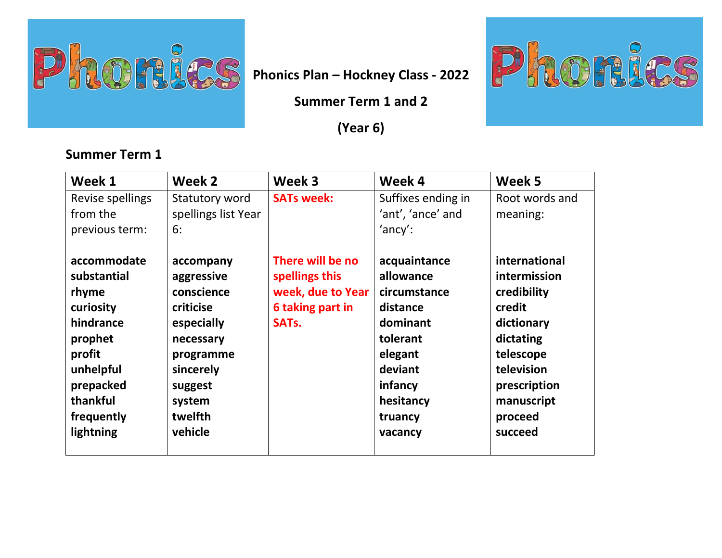

**Summer Term 1 and 2** 

**(Year 6)** 

## **Summer Term 1**

| Week 1           | Week 2              | Week 3             | Week 4             | Week 5         |
|------------------|---------------------|--------------------|--------------------|----------------|
| Revise spellings | Statutory word      | <b>SATs week:</b>  | Suffixes ending in | Root words and |
| from the         | spellings list Year |                    | 'ant', 'ance' and  | meaning:       |
| previous term:   | 6:                  |                    | $'$ ancy':         |                |
|                  |                     |                    |                    |                |
| accommodate      | accompany           | There will be no   | acquaintance       | international  |
| substantial      | aggressive          | spellings this     | allowance          | intermission   |
| rhyme            | conscience          | week, due to Year  | circumstance       | credibility    |
| curiosity        | criticise           | 6 taking part in   | distance           | credit         |
| hindrance        | especially          | SAT <sub>s</sub> . | dominant           | dictionary     |
| prophet          | necessary           |                    | tolerant           | dictating      |
| profit           | programme           |                    | elegant            | telescope      |
| unhelpful        | sincerely           |                    | deviant            | television     |
| prepacked        | suggest             |                    | infancy            | prescription   |
| thankful         | system              |                    | hesitancy          | manuscript     |
| frequently       | twelfth             |                    | truancy            | proceed        |
| lightning        | vehicle             |                    | vacancy            | succeed        |
|                  |                     |                    |                    |                |